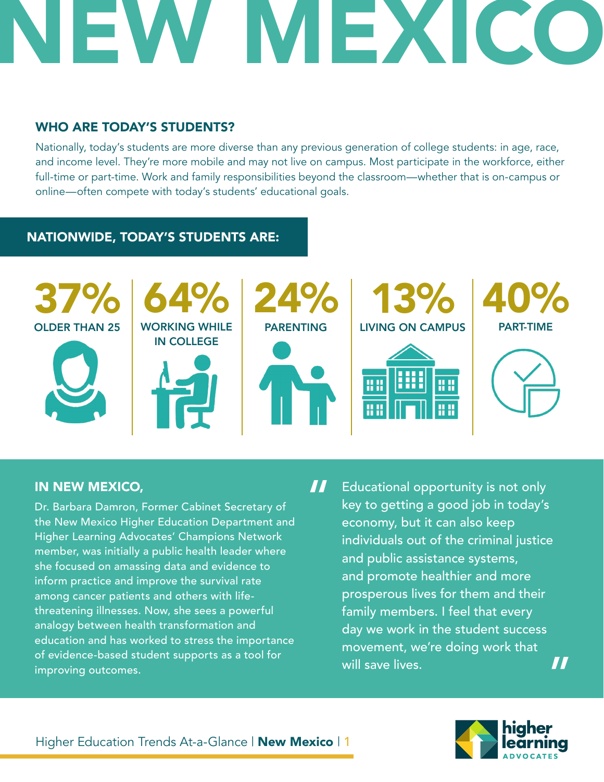# NEW MEXICO

#### WHO ARE TODAY'S STUDENTS?

Nationally, today's students are more diverse than any previous generation of college students: in age, race, and income level. They're more mobile and may not live on campus. Most participate in the workforce, either full-time or part-time. Work and family responsibilities beyond the classroom—whether that is on-campus or online—often compete with today's students' educational goals.

#### NATIONWIDE, TODAY'S STUDENTS ARE:



#### IN NEW MEXICO,

Dr. Barbara Damron, Former Cabinet Secretary of the New Mexico Higher Education Department and Higher Learning Advocates' Champions Network member, was initially a public health leader where she focused on amassing data and evidence to inform practice and improve the survival rate among cancer patients and others with lifethreatening illnesses. Now, she sees a powerful analogy between health transformation and education and has worked to stress the importance of evidence-based student supports as a tool for improving outcomes.

Educational opportunity is not only key to getting a good job in today's economy, but it can also keep individuals out of the criminal justice and public assistance systems, and promote healthier and more prosperous lives for them and their family members. I feel that every day we work in the student success movement, we're doing work that will save lives. " "

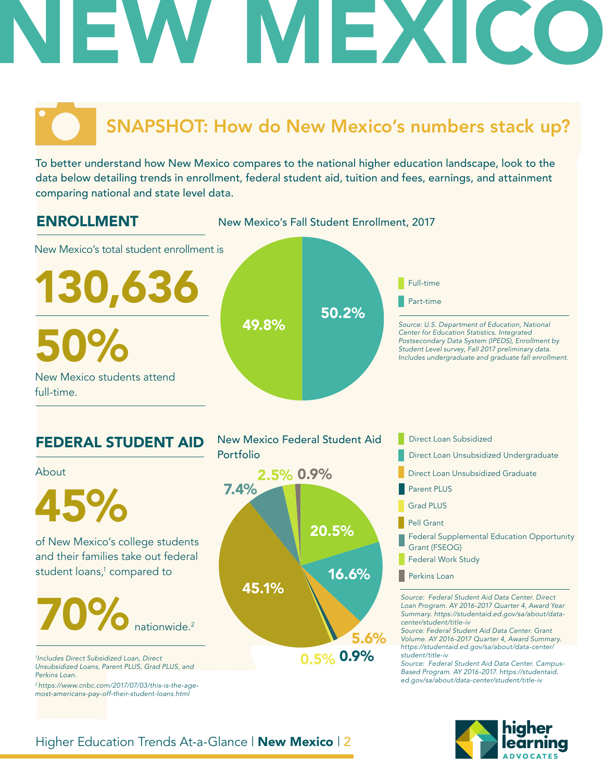# FX

## SNAPSHOT: How do New Mexico's numbers stack up?

To better understand how New Mexico compares to the national higher education landscape, look to the data below detailing trends in enrollment, federal student aid, tuition and fees, earnings, and attainment comparing national and state level data.



*2 https://www.cnbc.com/2017/07/03/this-is-the-agemost-americans-pay-off-their-student-loans.html*

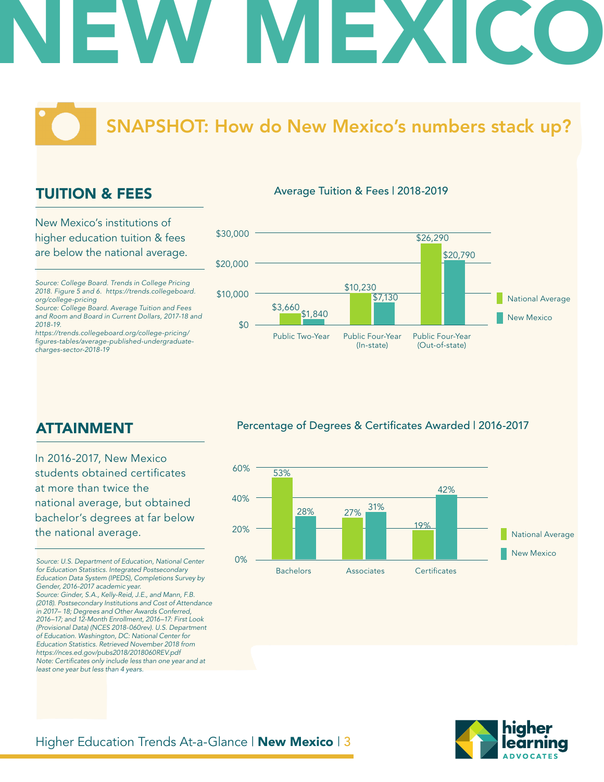# NEW MEXICO

### SNAPSHOT: How do New Mexico's numbers stack up?

#### TUITION & FEES

New Mexico's institutions of higher education tuition & fees are below the national average.

*Source: College Board. Trends in College Pricing 2018. Figure 5 and 6. https://trends.collegeboard. org/college-pricing*

*Source: College Board. Average Tuition and Fees and Room and Board in Current Dollars, 2017-18 and 2018-19.*

*https://trends.collegeboard.org/college-pricing/* figures-tables/average-published-undergraduate*charges-sector-2018-19*



Percentage of Degrees & Certificates Awarded | 2016-2017



#### ATTAINMENT

In 2016-2017, New Mexico students obtained certificates at more than twice the national average, but obtained bachelor's degrees at far below the national average.

*Source: U.S. Department of Education, National Center for Education Statistics. Integrated Postsecondary Education Data System (IPEDS), Completions Survey by Gender, 2016-2017 academic year. Source: Ginder, S.A., Kelly-Reid, J.E., and Mann, F.B. (2018). Postsecondary Institutions and Cost of Attendance in 2017– 18; Degrees and Other Awards Conferred, 2016–17; and 12-Month Enrollment, 2016–17: First Look (Provisional Data) (NCES 2018-060rev). U.S. Department of Education. Washington, DC: National Center for Education Statistics. Retrieved November 2018 from https://nces.ed.gov/pubs2018/2018060REV.pdf* Note: Certificates only include less than one year and at *least one year but less than 4 years.* 

#### Higher Education Trends At-a-Glance | New Mexico | 3

Average Tuition & Fees | 2018-2019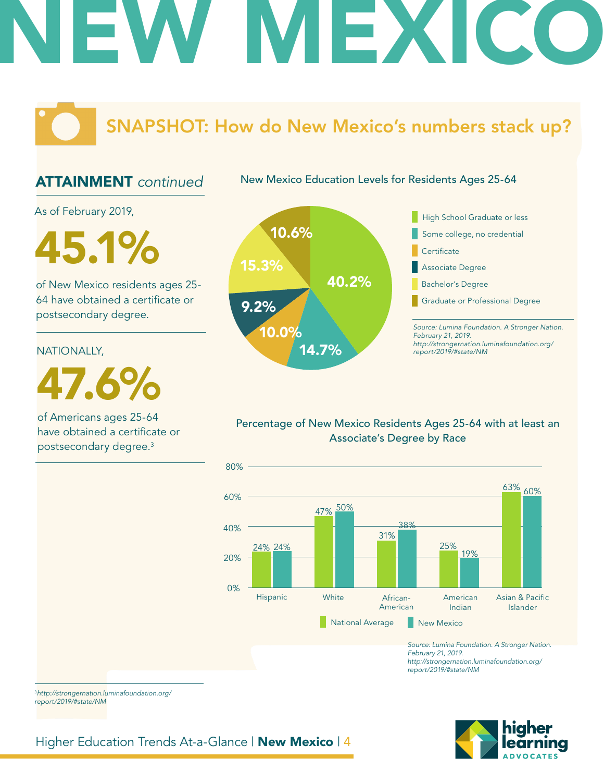# IEX

### SNAPSHOT: How do New Mexico's numbers stack up?

#### ATTAINMENT *continued*

New Mexico Education Levels for Residents Ages 25-64

As of February 2019,

**45.1%** 15.3%

of New Mexico residents ages 25- 64 have obtained a certificate or postsecondary degree.

#### NATIONALLY,

47.6%

of Americans ages 25-64 have obtained a certificate or postsecondary degree.3



*Source: Lumina Foundation. A Stronger Nation. http://strongernation.luminafoundation.org/ report/2019/#state/NM*

#### Percentage of New Mexico Residents Ages 25-64 with at least an Associate's Degree by Race



*February 21, 2019. http://strongernation.luminafoundation.org/ report/2019/#state/NM*

<sup>3</sup>*http://strongernation.luminafoundation.org/ report/2019/#state/NM*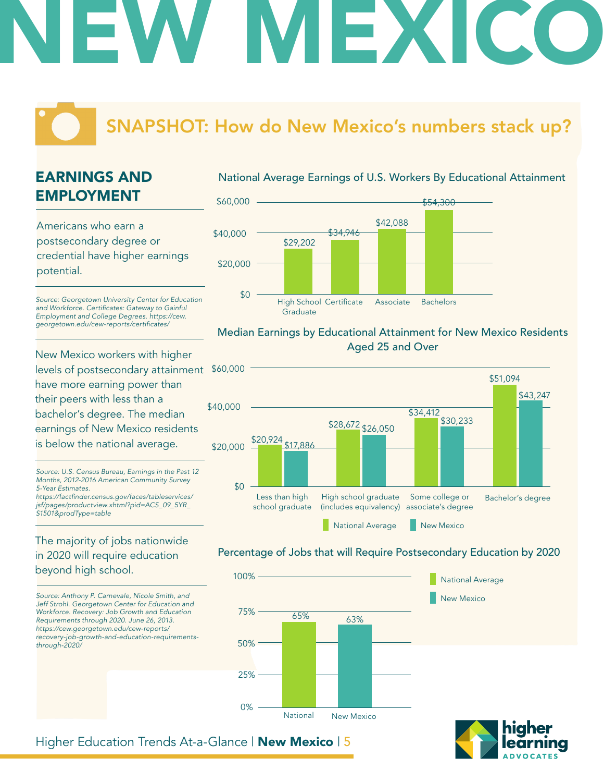# NEW MEXICO

### SNAPSHOT: How do New Mexico's numbers stack up?

#### EARNINGS AND EMPLOYMENT

Americans who earn a postsecondary degree or credential have higher earnings potential.

*Source: Georgetown University Center for Education*  and Workforce. Certificates: Gateway to Gainful *Employment and College Degrees. https://cew.* georgetown.edu/cew-reports/certificates/

New Mexico workers with higher levels of postsecondary attainment \$60,000 have more earning power than their peers with less than a bachelor's degree. The median earnings of New Mexico residents is below the national average.

*Source: U.S. Census Bureau, Earnings in the Past 12 Months, 2012-2016 American Community Survey 5-Year Estimates.* https://factfinder.census.gov/faces/tableservices/ *jsf/pages/productview.xhtml?pid=ACS\_09\_5YR\_*

The majority of jobs nationwide in 2020 will require education beyond high school.

*S1501&prodType=table*

*Source: Anthony P. Carnevale, Nicole Smith, and Jeff Strohl. Georgetown Center for Education and Workforce. Recovery: Job Growth and Education Requirements through 2020. June 26, 2013. https://cew.georgetown.edu/cew-reports/ recovery-job-growth-and-education-requirementsthrough-2020/*





#### Median Earnings by Educational Attainment for New Mexico Residents Aged 25 and Over



#### Percentage of Jobs that will Require Postsecondary Education by 2020